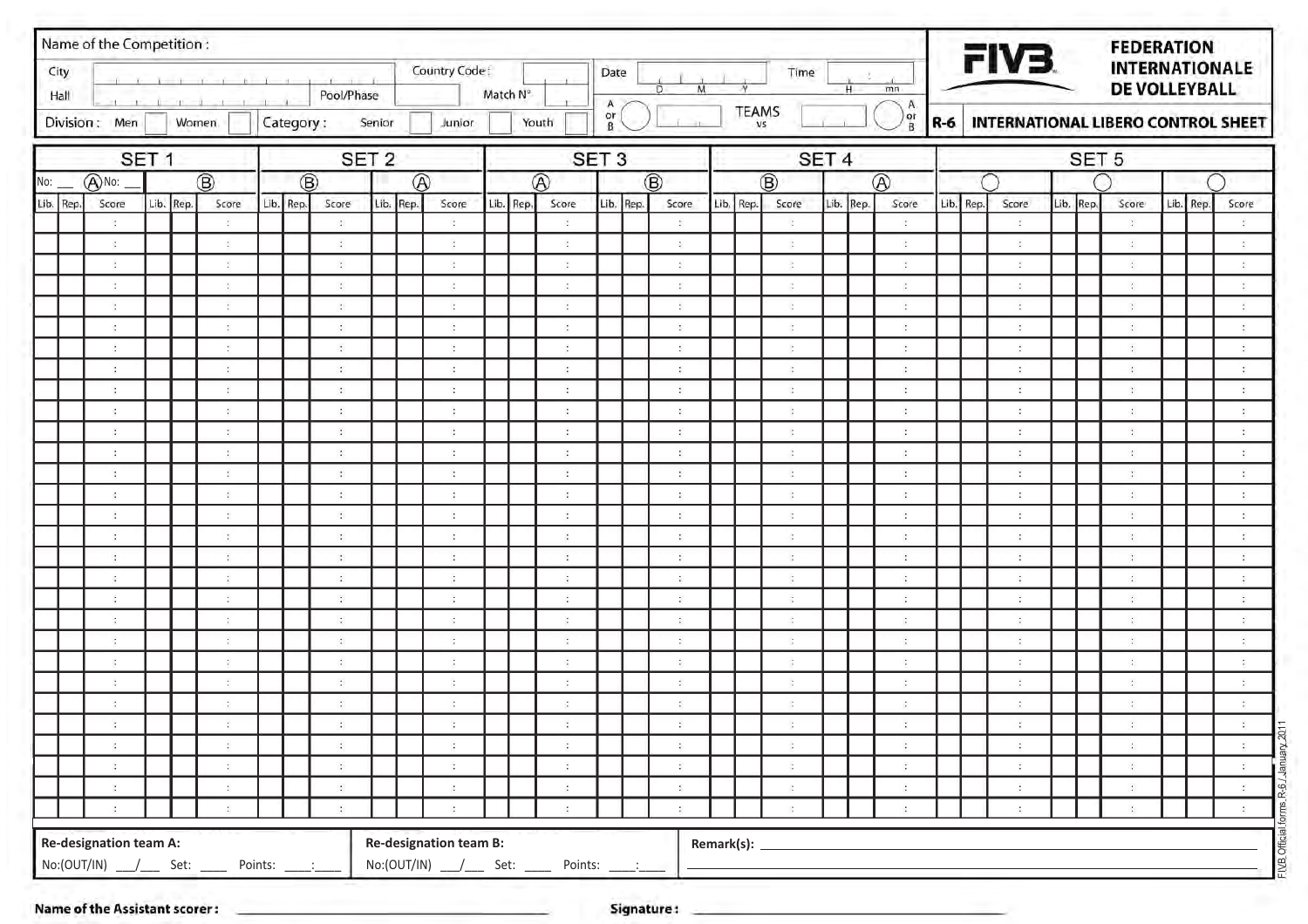| City<br>Hall | Name of the Competition:      |                  |                |                                                |           |     | Pool/Phase                                   |           |                | Country Code:                          | Match N° |           |                                                         | Date                     | M<br>Ð                                |              | N                         | Time                                      |                  | H | mn                                     |           | FIV3.                           |           | <b>FEDERATION</b><br><b>INTERNATIONALE</b><br>DE VOLLEYBALL |           |                                                            |
|--------------|-------------------------------|------------------|----------------|------------------------------------------------|-----------|-----|----------------------------------------------|-----------|----------------|----------------------------------------|----------|-----------|---------------------------------------------------------|--------------------------|---------------------------------------|--------------|---------------------------|-------------------------------------------|------------------|---|----------------------------------------|-----------|---------------------------------|-----------|-------------------------------------------------------------|-----------|------------------------------------------------------------|
|              | Division: Men                 |                  | $-1$ $-1$ $-1$ | $-1$<br>Women                                  | Category: |     |                                              | Senior    |                | Junior                                 |          |           | Youth                                                   | A<br>$_{\rm B}^{\rm or}$ |                                       |              | <b>TEAMS</b><br><b>VS</b> |                                           |                  |   | A<br>or)<br>B                          | $R-6$     |                                 |           | INTERNATIONAL LIBERO CONTROL SHEET                          |           |                                                            |
|              |                               | SET <sub>1</sub> |                |                                                |           |     | SET <sub>2</sub>                             |           |                |                                        |          |           |                                                         | SET <sub>3</sub>         |                                       |              |                           |                                           | SET <sub>4</sub> |   |                                        |           |                                 |           | SET <sub>5</sub>                                            |           |                                                            |
| No:          | ANo:                          |                  |                | $\circledR$                                    |           | (B) |                                              |           | $^{\circledR}$ |                                        |          |           | $\circledR$                                             |                          | $\circledR$                           |              |                           | $\circledR$                               |                  |   | $\circledR$                            |           |                                 |           |                                                             |           |                                                            |
| Lib. Rep.    | Score                         |                  | Lib. Rep.      | Score                                          | Lib. Rep. |     | Score                                        | Lib. Rep. |                | Score                                  |          | Lib. Rep. | Score                                                   | Lib. Rep.                | Score                                 |              | Lib. Rep.                 | Score                                     | Lib. Rep.        |   | Score                                  | Lib. Rep. | Score                           | Lib. Rep. | Score                                                       | Lib. Rep. | Score                                                      |
|              |                               |                  |                | $\mathcal{L}$                                  |           |     | $\ddot{\phantom{a}}$                         |           |                | $\mathbb{C}^{\mathbb{C}}$              |          |           | $\frac{1}{2}$                                           |                          | ÷                                     |              |                           | $\mathcal{L}_{\mathcal{A}}$               |                  |   | $\frac{1}{2}$                          |           | $\ddot{\cdot}$                  |           | $\ddot{\phantom{a}}$                                        |           | ÷                                                          |
|              |                               |                  |                | $\ddot{\phantom{a}}$                           |           |     | $\langle \cdot \rangle$                      |           |                | $\ddot{\phantom{a}}$                   |          |           | $\ddot{\phantom{a}}$                                    |                          | $\ddot{\phantom{a}}$                  |              |                           | $\sigma$                                  |                  |   | $\ddot{\phantom{a}}$                   |           | $\ddot{\phantom{a}}$            |           | $\sim$                                                      |           | ÷                                                          |
|              |                               |                  |                | $\mathcal{L}$                                  |           |     | $\ddot{\phantom{a}}$                         |           |                | ÷                                      |          |           | ÷                                                       |                          | $\ddot{\phantom{a}}$                  |              |                           | $\alpha$                                  |                  |   | $\mathcal{L}_{\mathcal{A}}$            |           | ÷                               |           | $\dddot{\cdot}$                                             |           | ÷                                                          |
|              | $\ddot{a}$                    |                  |                | $\ddot{\phantom{a}}$                           |           |     | $\ddot{\cdot}$                               |           |                | $\ddot{\cdot}$                         |          |           | $\sim$                                                  |                          | $\ddot{\cdot}$                        |              |                           | $\dddot{\cdot}$                           |                  |   | $\mathcal{L}_{\mathcal{L}}$            |           | $\ddot{\phantom{a}}$            |           | $\cdot$                                                     |           | ÷                                                          |
|              |                               |                  |                | $\mathcal{L}$                                  |           |     | $\ddot{\cdot}$                               |           |                | $\ddot{\phantom{a}}$                   |          |           | $\ddot{\phantom{a}}$                                    |                          | ÷                                     |              |                           | $\sim$                                    |                  |   | $\sim$                                 |           | $\cdot$                         |           | $\ddot{\phantom{a}}$                                        |           | $\ddot{\phantom{a}}$                                       |
|              | $\mathcal{L}$                 |                  |                | $\sim$                                         |           |     | $\ddot{\phantom{a}}$                         |           |                | $\ddot{\phantom{a}}$                   |          |           | $\ddot{\phantom{a}}$                                    |                          | $\ddot{\phantom{a}}$                  |              |                           | $\mathcal{L}$                             |                  |   | $\sim$                                 |           | $\ddot{\phantom{a}}$            |           | $\mathcal{L}_\mathrm{c}$                                    |           | $\mathbb{R}^n$                                             |
|              |                               |                  |                | $\mathcal{L}$                                  |           |     | $\mathcal{L}_{\mathcal{L}}$                  |           |                | $\mathcal{L}_{\mathcal{L}}$            |          |           | $\mathcal{L}_{\mathcal{L}}$                             |                          | ÷                                     |              |                           | $\sim$                                    |                  |   | $\mathcal{L}_{\mathcal{L}}$            |           | $\ddot{\phantom{a}}$            |           | $\sim$                                                      |           | ÷                                                          |
|              |                               |                  |                | $\ddot{\phantom{a}}$                           |           |     | $\therefore$                                 |           |                | $\ddot{\phantom{a}}$                   |          |           | $\mathcal{L}_{\mathcal{L}}$                             |                          | ÷                                     |              |                           | $\mathcal{L}$                             |                  |   | $\mathcal{L}_{\mathcal{L}}$            |           | $\mathcal{L}$                   |           | $\sim$                                                      |           | ÷.                                                         |
|              |                               |                  |                | $\mathcal{L}$                                  |           |     | $\ddot{\cdot}$                               |           |                | $\ddot{\phantom{a}}$                   |          |           | $\ddot{\cdot}$                                          |                          | $\mathcal{L}$                         |              |                           | $\mathbb{R}^n$                            |                  |   | $\mathcal{L}_{\mathcal{L}}$            |           | $\mathcal{L}$                   |           | $\cdot$                                                     |           | $\mathcal{L}_{\mathcal{L}}$                                |
|              |                               |                  |                | $\ddot{\phantom{a}}$                           |           |     | $\mathcal{L}_{\mathcal{L}}$                  |           |                | $\ddot{\phantom{a}}$                   |          |           | $\ddot{\phantom{a}}$                                    |                          | $\ddot{\phantom{a}}$                  |              |                           | $\mathcal{L}_{\mathcal{L}}$               |                  |   | $\sim$                                 |           | $\ddot{\phantom{a}}$            |           | $\frac{1}{2}$                                               |           | ÷                                                          |
|              |                               |                  |                | $\mathcal{L}$                                  |           |     | $\overline{\mathcal{L}}$                     |           |                | ÷.                                     |          |           | $\mathcal{L}_{\mathcal{L}}$                             |                          | ÷                                     |              |                           | $\mathbb{R}^n$                            |                  |   | -9                                     |           | ÷.                              |           | $\sim$                                                      |           | $\mathcal{L}$                                              |
|              |                               |                  |                | $\ddot{\phantom{a}}$                           |           |     | $\ddot{\cdot}$                               |           |                | $\ddot{\phantom{a}}$                   |          |           | $\ddot{\phantom{a}}$                                    |                          | ÷                                     |              |                           | $\sigma$                                  |                  |   | $\mathcal{L}_{\mathcal{L}}$            |           | $\ddot{\phantom{a}}$            |           | $\cdot$                                                     |           | ÷                                                          |
|              |                               |                  |                | $\sim$                                         |           |     | $\ddot{\phantom{a}}$                         |           |                | $\ddot{\phantom{a}}$                   |          |           | $\mathcal{L}$                                           |                          | $\ddot{\phantom{a}}$                  |              |                           | $\mathbb{R}^2$                            |                  |   | $\mathcal{L}_{\mathcal{L}}$            |           | $\sim$                          |           | $\mathcal{L}$                                               |           | $\mathbb{C}^2$                                             |
|              |                               |                  |                | ÷                                              |           |     | $\sim$                                       |           |                | $\alpha$                               |          |           | $\ddot{\phantom{a}}$                                    |                          | $\ddot{\phantom{a}}$                  |              |                           | $\mathcal{L}$                             |                  |   | $\sim$                                 |           | $\mathbb{R}^n$                  |           | $\mathcal{L}_{\mathcal{L}}$                                 |           | $\ddot{\nu}$                                               |
|              |                               |                  |                | $\mathcal{L}$                                  |           |     | $\mathcal{L}_{\mathcal{L}}$                  |           |                | $\ddot{\phantom{a}}$                   |          |           | $\mathcal{L}_{\mathcal{L}}$                             |                          | $\mathcal{L}$                         |              |                           | $\mathbb{R}^2$                            |                  |   | $\sim$                                 |           | $\sim$                          |           | $\sim$                                                      |           | $\mathcal{L}_{\mathcal{L}}$                                |
|              |                               |                  |                | $\mathcal{L}_{\mathcal{L}}$                    |           |     | $\mathcal{L}^{\mathcal{C}}$                  |           |                | $\ddot{\cdot}$<br>$\ddot{\phantom{a}}$ |          |           | a.<br>$\cdot$                                           |                          | ÷                                     |              |                           | $\mathcal{L}$                             |                  |   | $\mathcal{L}_{\mathcal{L}}$<br>$\cdot$ |           | $\mathcal{L}$                   |           | $\mathcal{L}_{\mathcal{L}}$<br>$\cdot$                      |           | $\mathcal{L}_{\mathcal{C}}$<br>$\mathcal{L}^{\mathcal{L}}$ |
|              |                               |                  |                | $\mathbb{R}^2$<br>$\ddot{\phantom{a}}$         |           |     | $\mathcal{L}_{\mathcal{L}}$<br>$\frac{1}{2}$ |           |                | $\ddot{\phantom{a}}$                   |          |           | $\ddot{\cdot}$                                          |                          | $\mathcal{I}$<br>$\ddot{\phantom{a}}$ |              |                           | $\mathcal{L}$<br>$\mathcal{L}$            |                  |   | $\ddot{\phantom{a}}$                   |           | $\cdot$<br>$\ddot{\phantom{a}}$ |           | $\frac{1}{2}$                                               |           | ÷                                                          |
|              |                               |                  |                | $\mathcal{L}$                                  |           |     | $\mathcal{L}_{\mathcal{L}}$                  |           |                | $\ddot{\phantom{a}}$                   |          |           | $\mathcal{L}_{\mathcal{L}}$                             |                          | $\ddot{\phantom{a}}$                  |              |                           | $\mathbb{R}^n$                            |                  |   | $\mathcal{L}_{\mathcal{L}}$            |           | ÷.                              |           | $\sim$                                                      |           | $\mathcal{L}_{\mathcal{L}}$                                |
|              | $\mathbb{R}^2$                |                  |                | $\ddot{\cdot}$                                 |           |     | $\ddot{\cdot}$                               |           |                | $\ddot{\phantom{a}}$                   |          |           | $\ddot{\cdot}$                                          |                          | ÷                                     |              |                           | $\sigma$                                  |                  |   | $\mathcal{L}_{\mathcal{L}}$            |           | $\ddot{\phantom{a}}$            |           | $\mathcal{L}_{\mathcal{A}}$                                 |           | ÷                                                          |
|              |                               |                  |                | $\mathcal{L}$                                  |           |     | $\mathcal{L}_{\mathcal{L}}$                  |           |                | $\ddot{\cdot}$                         |          |           | $\ddot{\phantom{a}}$                                    |                          | ÷                                     |              |                           | $\mathcal{L}_{\mathcal{L}}$               |                  |   | $\mathcal{L}_{\mathcal{L}}$            |           | $\mathcal{L}$                   |           | $\ddot{\phantom{a}}$                                        |           | $\mathcal{L}_{\mathcal{L}}$                                |
|              |                               |                  |                | $\ddot{\phantom{a}}$                           |           |     | $\sim$                                       |           |                | $\ddot{\phantom{a}}$                   |          |           | $\ddot{\phantom{a}}$                                    |                          | $\ddot{\phantom{a}}$                  |              |                           |                                           |                  |   | $\sim$                                 |           | $\ddot{\phantom{a}}$            |           | $\mathcal{L}$                                               |           | $\mathcal{L}_{\mathcal{L}}$                                |
|              |                               |                  |                | -6                                             |           |     | $\overline{\mathcal{L}}$                     |           |                | $\sim$                                 |          |           | $\alpha$                                                |                          | $\overline{\mathbf{z}}$               |              |                           | ÷.                                        |                  |   | $\alpha$                               |           | ×                               |           | $\cdot$                                                     |           | $\mathcal{L}_{\mathcal{L}}$                                |
|              |                               |                  |                | $\mathcal{L}_{\mathcal{L}}$                    |           |     | $\cdot$                                      |           |                | $\ddot{\cdot}$                         |          |           | $\sim$                                                  |                          | ÷                                     |              |                           | $\sigma$                                  |                  |   | $\Delta$                               |           |                                 |           | $\sim$                                                      |           | ¥.                                                         |
|              | $\mathcal{L}_{\mathcal{L}}$   |                  |                | $\mathbb{R}^n$                                 |           |     | $\mathcal{L}_{\mathcal{A}}$                  |           |                | $\mathcal{L}_{\mathcal{L}}$            |          |           | $\mathcal{L}_{\mathcal{A}}$                             |                          | $\ddot{\phantom{a}}$                  |              |                           | $\sim$                                    |                  |   | $\mathcal{L}_{\mathcal{L}}$            |           | $\mathcal{L}$                   |           | $\mathcal{L}_{\mathcal{A}}$                                 |           | $\mathcal{L}_{\mathcal{C}}$                                |
|              | $\mathbb{Z}^{\times}$         |                  |                | $\ddot{\phantom{a}}$                           |           |     | $\ddot{\phantom{a}}$                         |           |                | $\ddot{\phantom{a}}$                   |          |           | $\mathbb{C}^{\mathbb{C}}$                               |                          | $\frac{1}{2}$                         |              |                           | $\ddot{\phantom{a}}$                      |                  |   | $\mathcal{L}_{\mathcal{L}}$            |           | $\mathcal{L}_{\mathcal{L}}$     |           | $\langle \cdot \rangle$                                     |           | $\mathcal{R}^{\mathcal{A}}$ .                              |
|              | $\mathcal{L}$                 |                  |                | $\mathcal{L}_{\mathcal{C}}$                    |           |     | $\mathcal{L}_{\mathcal{L}}$                  |           |                | $\mathcal{L}_{\mathcal{L}}$            |          |           | $\mathcal{I}_\mathrm{c}$                                |                          | $\mathcal{L}_{\mathcal{L}}$           |              |                           | $\ddot{\phantom{a}}$ .                    |                  |   | $\mathcal{L}_{\mathcal{L}}$            |           | $\mathcal{L}_{\mathcal{L}}$     |           | $\mathcal{L}_{\mathcal{L}}$                                 |           | $\mathcal{B}_{\mathcal{A}}$ .                              |
|              | $\sim$                        |                  |                | $\mathcal{L}_{\mathrm{c}}$                     |           |     | $\mathcal{L}_{\mathcal{A}}$                  |           |                | $\mathcal{L}_{\mathcal{L}}$            |          |           | $\mathcal{L}_{\mathcal{L}}$                             |                          | $\mathbb{S}$                          |              |                           | $\mathcal{L}_{\mathcal{A}}$               |                  |   | $\mathcal{L}_{\mathcal{L}}$            |           | $\mathcal{L}_{\mathcal{L}}$     |           | $\mathcal{L}$                                               |           |                                                            |
|              | $\mathcal{L}$                 |                  |                | $\mathcal{L}_{\mathrm{c}}$                     |           |     | $\mathcal{L}_{\mathcal{A}}$                  |           |                | $\mathcal{L}_{\rm{c}}$                 |          |           | $\mathcal{L}$                                           |                          | $\frac{1}{2}$                         |              |                           | $\mathcal{G}^{\mathcal{S}}_{\mathcal{S}}$ |                  |   | $\mathcal{L}_{\mathcal{L}}$            |           | $\sim$                          |           | $\mathcal{L}_{\mathcal{L}}$                                 |           | $\mathbb{R}^+$                                             |
|              | <b>Re-designation team A:</b> |                  |                |                                                |           |     |                                              |           |                | <b>Re-designation team B:</b>          |          |           |                                                         |                          |                                       |              |                           |                                           |                  |   |                                        |           |                                 |           |                                                             |           |                                                            |
|              |                               |                  |                |                                                |           |     |                                              |           |                |                                        |          |           |                                                         |                          |                                       | Remark(s): _ |                           |                                           |                  |   |                                        |           |                                 |           |                                                             |           |                                                            |
|              |                               |                  |                | $No:(OUT/IN)$ $\_$ $\_$ Set: $\_$ Points: $\_$ |           |     |                                              |           |                |                                        |          |           | No:(OUT/IN) ____/_____ Set: _______ Points: _____:_____ |                          |                                       |              |                           |                                           |                  |   |                                        |           |                                 |           |                                                             |           |                                                            |

Name of the Assistant scorer: